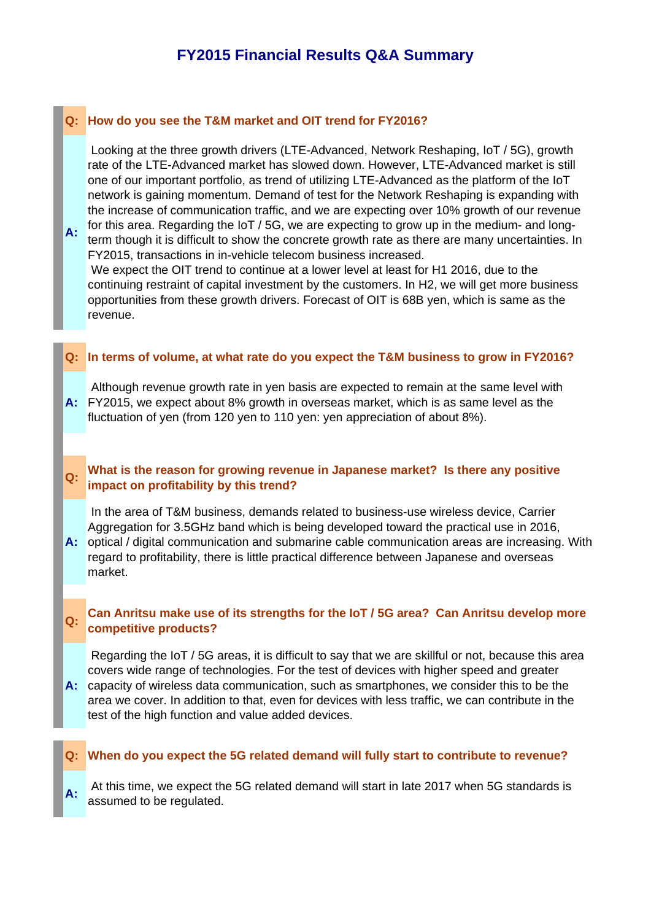# **FY2015 Financial Results Q&A Summary**

#### **Q: How do you see the T&M market and OIT trend for FY2016?**

 Looking at the three growth drivers (LTE-Advanced, Network Reshaping, IoT / 5G), growth rate of the LTE-Advanced market has slowed down. However, LTE-Advanced market is still one of our important portfolio, as trend of utilizing LTE-Advanced as the platform of the IoT network is gaining momentum. Demand of test for the Network Reshaping is expanding with the increase of communication traffic, and we are expecting over 10% growth of our revenue for this area. Regarding the IoT / 5G, we are expecting to grow up in the medium- and long-

**A:** term though it is difficult to show the concrete growth rate as there are many uncertainties. In FY2015, transactions in in-vehicle telecom business increased.

 We expect the OIT trend to continue at a lower level at least for H1 2016, due to the continuing restraint of capital investment by the customers. In H2, we will get more business opportunities from these growth drivers. Forecast of OIT is 68B yen, which is same as the revenue.

#### **Q: In terms of volume, at what rate do you expect the T&M business to grow in FY2016?**

**A:** FY2015, we expect about 8% growth in overseas market, which is as same level as the Although revenue growth rate in yen basis are expected to remain at the same level with fluctuation of yen (from 120 yen to 110 yen: yen appreciation of about 8%).

#### **Q:** What is the reason for growing revenue in Japanese market? Is there any positive **impact on profitability by this trend?**

 In the area of T&M business, demands related to business-use wireless device, Carrier Aggregation for 3.5GHz band which is being developed toward the practical use in 2016,

**A:** optical / digital communication and submarine cable communication areas are increasing. With regard to profitability, there is little practical difference between Japanese and overseas market.

#### **Q: Can Anritsu make use of its strengths for the IoT / 5G area? Can Anritsu develop more competitive products?**

**A:** capacity of wireless data communication, such as smartphones, we consider this to be the Regarding the IoT / 5G areas, it is difficult to say that we are skillful or not, because this area covers wide range of technologies. For the test of devices with higher speed and greater

area we cover. In addition to that, even for devices with less traffic, we can contribute in the test of the high function and value added devices.

#### **Q: When do you expect the 5G related demand will fully start to contribute to revenue?**

A: At this time, we expect the 5G related demand will start in late 2017 when 5G standards is assumed to be regulated.